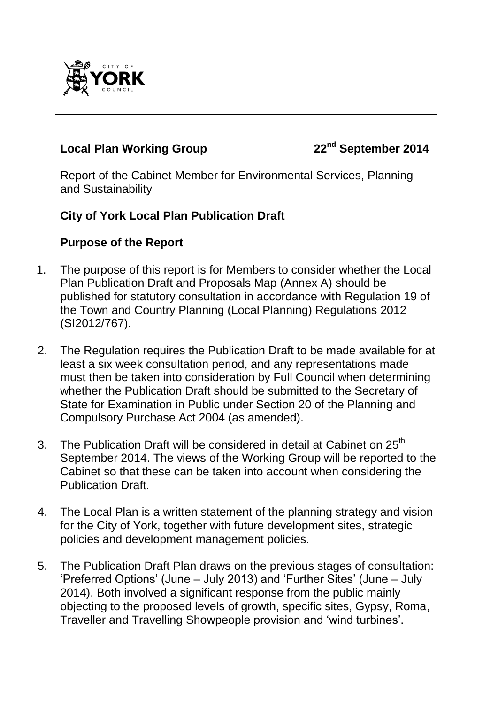

# **Local Plan Working Group 22nd September 2014**

Report of the Cabinet Member for Environmental Services, Planning and Sustainability

#### **City of York Local Plan Publication Draft**

#### **Purpose of the Report**

- 1. The purpose of this report is for Members to consider whether the Local Plan Publication Draft and Proposals Map (Annex A) should be published for statutory consultation in accordance with Regulation 19 of the Town and Country Planning (Local Planning) Regulations 2012 (SI2012/767).
- 2. The Regulation requires the Publication Draft to be made available for at least a six week consultation period, and any representations made must then be taken into consideration by Full Council when determining whether the Publication Draft should be submitted to the Secretary of State for Examination in Public under Section 20 of the Planning and Compulsory Purchase Act 2004 (as amended).
- 3. The Publication Draft will be considered in detail at Cabinet on 25<sup>th</sup> September 2014. The views of the Working Group will be reported to the Cabinet so that these can be taken into account when considering the Publication Draft.
- 4. The Local Plan is a written statement of the planning strategy and vision for the City of York, together with future development sites, strategic policies and development management policies.
- 5. The Publication Draft Plan draws on the previous stages of consultation: 'Preferred Options' (June – July 2013) and 'Further Sites' (June – July 2014). Both involved a significant response from the public mainly objecting to the proposed levels of growth, specific sites, Gypsy, Roma, Traveller and Travelling Showpeople provision and 'wind turbines'.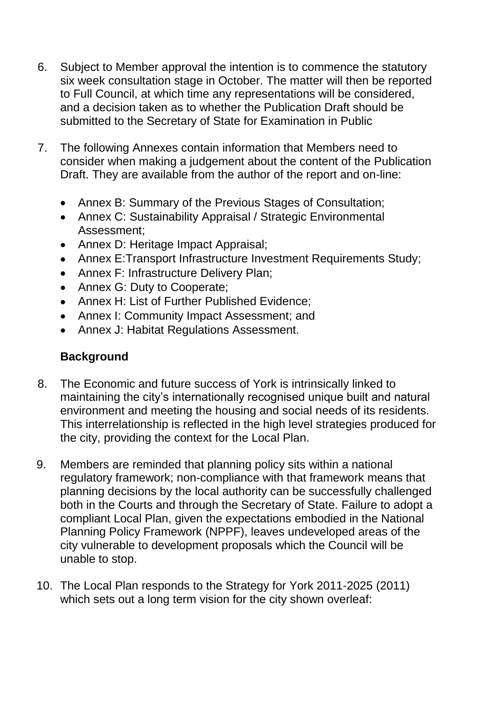- 6. Subject to Member approval the intention is to commence the statutory six week consultation stage in October. The matter will then be reported to Full Council, at which time any representations will be considered, and a decision taken as to whether the Publication Draft should be submitted to the Secretary of State for Examination in Public
- 7. The following Annexes contain information that Members need to consider when making a judgement about the content of the Publication Draft. They are available from the author of the report and on-line:
	- Annex B: Summary of the Previous Stages of Consultation;
	- Annex C: Sustainability Appraisal / Strategic Environmental Assessment;
	- Annex D: Heritage Impact Appraisal:
	- Annex E:Transport Infrastructure Investment Requirements Study;
	- Annex F: Infrastructure Delivery Plan;
	- Annex G: Duty to Cooperate;
	- Annex H: List of Further Published Evidence:
	- Annex I: Community Impact Assessment; and
	- Annex J: Habitat Regulations Assessment.

## **Background**

- 8. The Economic and future success of York is intrinsically linked to maintaining the city's internationally recognised unique built and natural environment and meeting the housing and social needs of its residents. This interrelationship is reflected in the high level strategies produced for the city, providing the context for the Local Plan.
- 9. Members are reminded that planning policy sits within a national regulatory framework; non-compliance with that framework means that planning decisions by the local authority can be successfully challenged both in the Courts and through the Secretary of State. Failure to adopt a compliant Local Plan, given the expectations embodied in the National Planning Policy Framework (NPPF), leaves undeveloped areas of the city vulnerable to development proposals which the Council will be unable to stop.
- 10. The Local Plan responds to the Strategy for York 2011-2025 (2011) which sets out a long term vision for the city shown overleaf: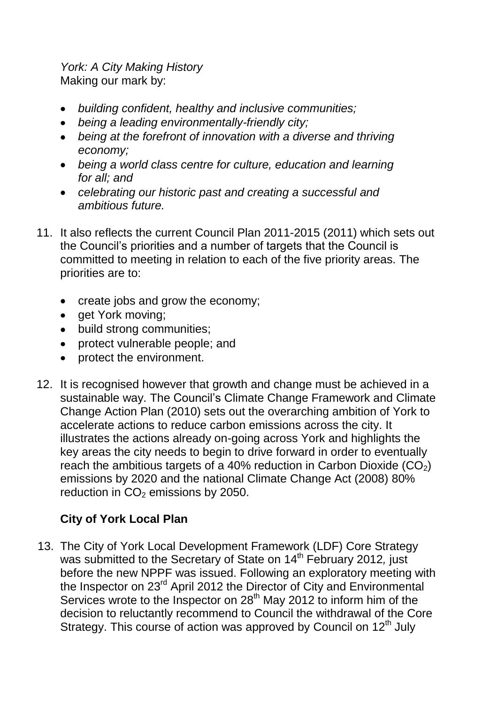*York: A City Making History*  Making our mark by:

- *building confident, healthy and inclusive communities;*
- *being a leading environmentally-friendly city;*
- *being at the forefront of innovation with a diverse and thriving economy;*
- *being a world class centre for culture, education and learning for all; and*
- *celebrating our historic past and creating a successful and ambitious future.*
- 11. It also reflects the current Council Plan 2011-2015 (2011) which sets out the Council's priorities and a number of targets that the Council is committed to meeting in relation to each of the five priority areas. The priorities are to:
	- create jobs and grow the economy;
	- get York moving;
	- build strong communities;
	- protect vulnerable people; and
	- protect the environment.
- 12. It is recognised however that growth and change must be achieved in a sustainable way. The Council's Climate Change Framework and Climate Change Action Plan (2010) sets out the overarching ambition of York to accelerate actions to reduce carbon emissions across the city. It illustrates the actions already on-going across York and highlights the key areas the city needs to begin to drive forward in order to eventually reach the ambitious targets of a 40% reduction in Carbon Dioxide  $(CO<sub>2</sub>)$ emissions by 2020 and the national Climate Change Act (2008) 80% reduction in  $CO<sub>2</sub>$  emissions by 2050.

# **City of York Local Plan**

13. The City of York Local Development Framework (LDF) Core Strategy was submitted to the Secretary of State on 14th February 2012*,* just before the new NPPF was issued. Following an exploratory meeting with the Inspector on 23<sup>rd</sup> April 2012 the Director of City and Environmental Services wrote to the Inspector on  $28<sup>th</sup>$  May 2012 to inform him of the decision to reluctantly recommend to Council the withdrawal of the Core Strategy. This course of action was approved by Council on 12<sup>th</sup> July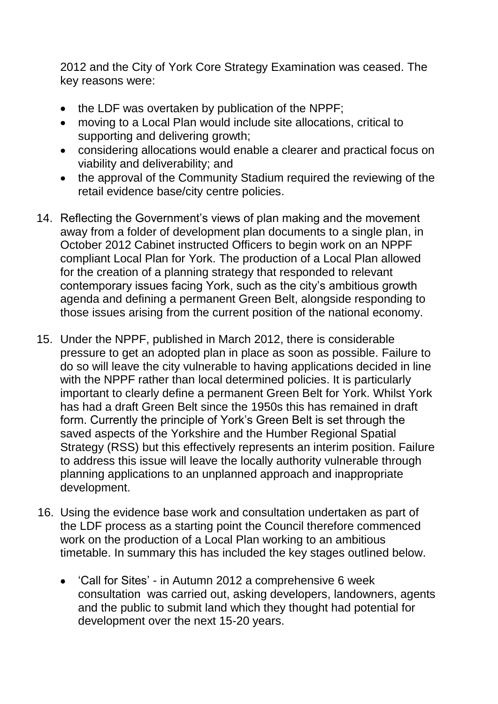2012 and the City of York Core Strategy Examination was ceased. The key reasons were:

- the LDF was overtaken by publication of the NPPF;
- moving to a Local Plan would include site allocations, critical to supporting and delivering growth;
- considering allocations would enable a clearer and practical focus on viability and deliverability; and
- the approval of the Community Stadium required the reviewing of the retail evidence base/city centre policies.
- 14. Reflecting the Government's views of plan making and the movement away from a folder of development plan documents to a single plan, in October 2012 Cabinet instructed Officers to begin work on an NPPF compliant Local Plan for York. The production of a Local Plan allowed for the creation of a planning strategy that responded to relevant contemporary issues facing York, such as the city's ambitious growth agenda and defining a permanent Green Belt, alongside responding to those issues arising from the current position of the national economy.
- 15. Under the NPPF, published in March 2012, there is considerable pressure to get an adopted plan in place as soon as possible. Failure to do so will leave the city vulnerable to having applications decided in line with the NPPF rather than local determined policies. It is particularly important to clearly define a permanent Green Belt for York. Whilst York has had a draft Green Belt since the 1950s this has remained in draft form. Currently the principle of York's Green Belt is set through the saved aspects of the Yorkshire and the Humber Regional Spatial Strategy (RSS) but this effectively represents an interim position. Failure to address this issue will leave the locally authority vulnerable through planning applications to an unplanned approach and inappropriate development.
- 16. Using the evidence base work and consultation undertaken as part of the LDF process as a starting point the Council therefore commenced work on the production of a Local Plan working to an ambitious timetable. In summary this has included the key stages outlined below.
	- 'Call for Sites' in Autumn 2012 a comprehensive 6 week consultation was carried out, asking developers, landowners, agents and the public to submit land which they thought had potential for development over the next 15-20 years.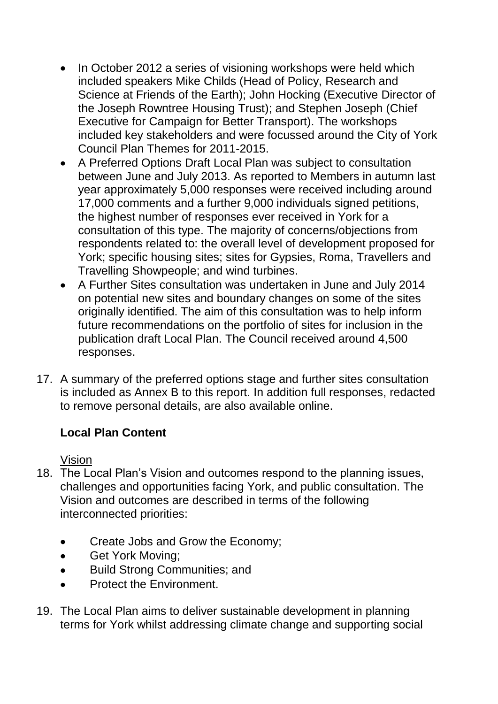- In October 2012 a series of visioning workshops were held which included speakers Mike Childs (Head of Policy, Research and Science at Friends of the Earth); John Hocking (Executive Director of the Joseph Rowntree Housing Trust); and Stephen Joseph (Chief Executive for Campaign for Better Transport). The workshops included key stakeholders and were focussed around the City of York Council Plan Themes for 2011-2015.
- A Preferred Options Draft Local Plan was subject to consultation between June and July 2013. As reported to Members in autumn last year approximately 5,000 responses were received including around 17,000 comments and a further 9,000 individuals signed petitions, the highest number of responses ever received in York for a consultation of this type. The majority of concerns/objections from respondents related to: the overall level of development proposed for York; specific housing sites; sites for Gypsies, Roma, Travellers and Travelling Showpeople; and wind turbines.
- A Further Sites consultation was undertaken in June and July 2014 on potential new sites and boundary changes on some of the sites originally identified. The aim of this consultation was to help inform future recommendations on the portfolio of sites for inclusion in the publication draft Local Plan. The Council received around 4,500 responses.
- 17. A summary of the preferred options stage and further sites consultation is included as Annex B to this report. In addition full responses, redacted to remove personal details, are also available online.

## **Local Plan Content**

Vision

- 18. The Local Plan's Vision and outcomes respond to the planning issues, challenges and opportunities facing York, and public consultation. The Vision and outcomes are described in terms of the following interconnected priorities:
	- Create Jobs and Grow the Economy;
	- Get York Moving;
	- Build Strong Communities; and  $\bullet$
	- Protect the Environment.
- 19. The Local Plan aims to deliver sustainable development in planning terms for York whilst addressing climate change and supporting social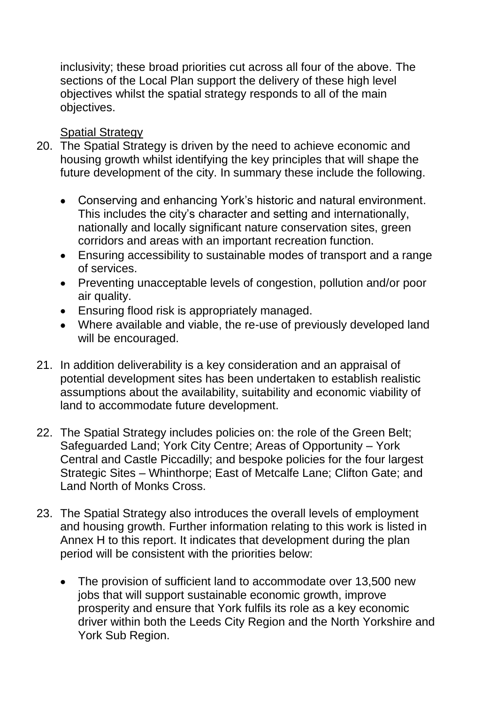inclusivity; these broad priorities cut across all four of the above. The sections of the Local Plan support the delivery of these high level objectives whilst the spatial strategy responds to all of the main objectives.

#### Spatial Strategy

- 20. The Spatial Strategy is driven by the need to achieve economic and housing growth whilst identifying the key principles that will shape the future development of the city. In summary these include the following.
	- Conserving and enhancing York's historic and natural environment. This includes the city's character and setting and internationally, nationally and locally significant nature conservation sites, green corridors and areas with an important recreation function.
	- Ensuring accessibility to sustainable modes of transport and a range of services.
	- Preventing unacceptable levels of congestion, pollution and/or poor air quality.
	- Ensuring flood risk is appropriately managed.
	- Where available and viable, the re-use of previously developed land will be encouraged.
- 21. In addition deliverability is a key consideration and an appraisal of potential development sites has been undertaken to establish realistic assumptions about the availability, suitability and economic viability of land to accommodate future development.
- 22. The Spatial Strategy includes policies on: the role of the Green Belt; Safeguarded Land; York City Centre; Areas of Opportunity – York Central and Castle Piccadilly; and bespoke policies for the four largest Strategic Sites – Whinthorpe; East of Metcalfe Lane; Clifton Gate; and Land North of Monks Cross.
- 23. The Spatial Strategy also introduces the overall levels of employment and housing growth. Further information relating to this work is listed in Annex H to this report. It indicates that development during the plan period will be consistent with the priorities below:
	- The provision of sufficient land to accommodate over 13,500 new jobs that will support sustainable economic growth, improve prosperity and ensure that York fulfils its role as a key economic driver within both the Leeds City Region and the North Yorkshire and York Sub Region.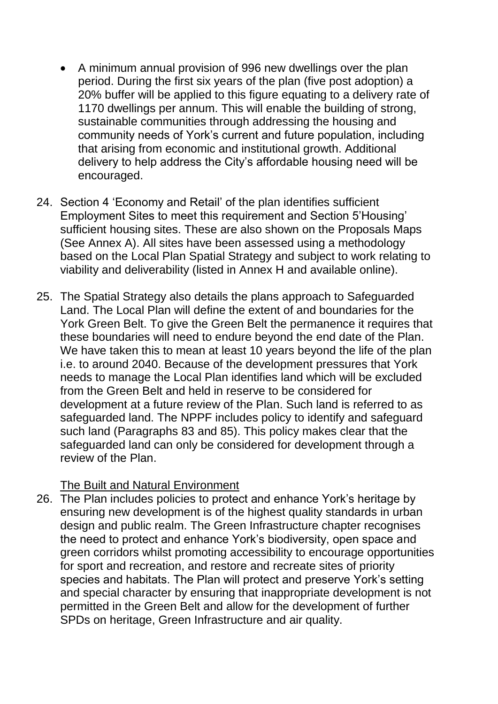- A minimum annual provision of 996 new dwellings over the plan period. During the first six years of the plan (five post adoption) a 20% buffer will be applied to this figure equating to a delivery rate of 1170 dwellings per annum. This will enable the building of strong, sustainable communities through addressing the housing and community needs of York's current and future population, including that arising from economic and institutional growth. Additional delivery to help address the City's affordable housing need will be encouraged.
- 24. Section 4 'Economy and Retail' of the plan identifies sufficient Employment Sites to meet this requirement and Section 5'Housing' sufficient housing sites. These are also shown on the Proposals Maps (See Annex A). All sites have been assessed using a methodology based on the Local Plan Spatial Strategy and subject to work relating to viability and deliverability (listed in Annex H and available online).
- 25. The Spatial Strategy also details the plans approach to Safeguarded Land. The Local Plan will define the extent of and boundaries for the York Green Belt. To give the Green Belt the permanence it requires that these boundaries will need to endure beyond the end date of the Plan. We have taken this to mean at least 10 years beyond the life of the plan i.e. to around 2040. Because of the development pressures that York needs to manage the Local Plan identifies land which will be excluded from the Green Belt and held in reserve to be considered for development at a future review of the Plan. Such land is referred to as safeguarded land. The NPPF includes policy to identify and safeguard such land (Paragraphs 83 and 85). This policy makes clear that the safeguarded land can only be considered for development through a review of the Plan.

The Built and Natural Environment

26. The Plan includes policies to protect and enhance York's heritage by ensuring new development is of the highest quality standards in urban design and public realm. The Green Infrastructure chapter recognises the need to protect and enhance York's biodiversity, open space and green corridors whilst promoting accessibility to encourage opportunities for sport and recreation, and restore and recreate sites of priority species and habitats. The Plan will protect and preserve York's setting and special character by ensuring that inappropriate development is not permitted in the Green Belt and allow for the development of further SPDs on heritage, Green Infrastructure and air quality.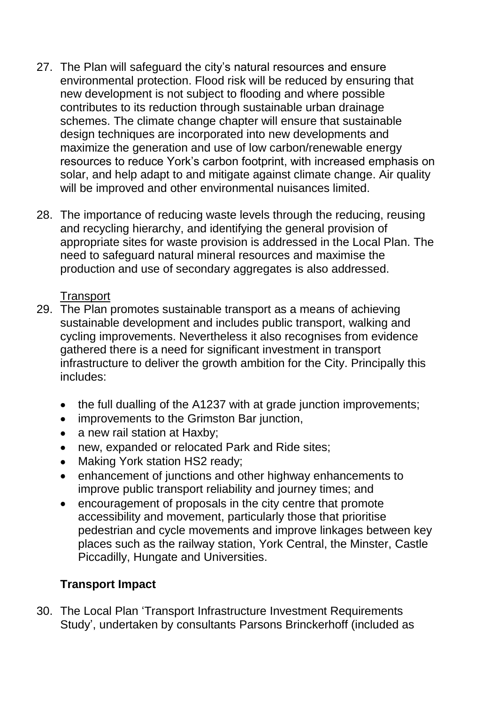- 27. The Plan will safeguard the city's natural resources and ensure environmental protection. Flood risk will be reduced by ensuring that new development is not subject to flooding and where possible contributes to its reduction through sustainable urban drainage schemes. The climate change chapter will ensure that sustainable design techniques are incorporated into new developments and maximize the generation and use of low carbon/renewable energy resources to reduce York's carbon footprint, with increased emphasis on solar, and help adapt to and mitigate against climate change. Air quality will be improved and other environmental nuisances limited.
- 28. The importance of reducing waste levels through the reducing, reusing and recycling hierarchy, and identifying the general provision of appropriate sites for waste provision is addressed in the Local Plan. The need to safeguard natural mineral resources and maximise the production and use of secondary aggregates is also addressed.

## **Transport**

- 29. The Plan promotes sustainable transport as a means of achieving sustainable development and includes public transport, walking and cycling improvements. Nevertheless it also recognises from evidence gathered there is a need for significant investment in transport infrastructure to deliver the growth ambition for the City. Principally this includes:
	- the full dualling of the A1237 with at grade junction improvements;
	- improvements to the Grimston Bar junction,  $\bullet$
	- a new rail station at Haxby;  $\bullet$
	- new, expanded or relocated Park and Ride sites;  $\bullet$
	- Making York station HS2 ready;  $\bullet$
	- enhancement of junctions and other highway enhancements to  $\bullet$ improve public transport reliability and journey times; and
	- encouragement of proposals in the city centre that promote  $\bullet$ accessibility and movement, particularly those that prioritise pedestrian and cycle movements and improve linkages between key places such as the railway station, York Central, the Minster, Castle Piccadilly, Hungate and Universities.

# **Transport Impact**

30. The Local Plan 'Transport Infrastructure Investment Requirements Study', undertaken by consultants Parsons Brinckerhoff (included as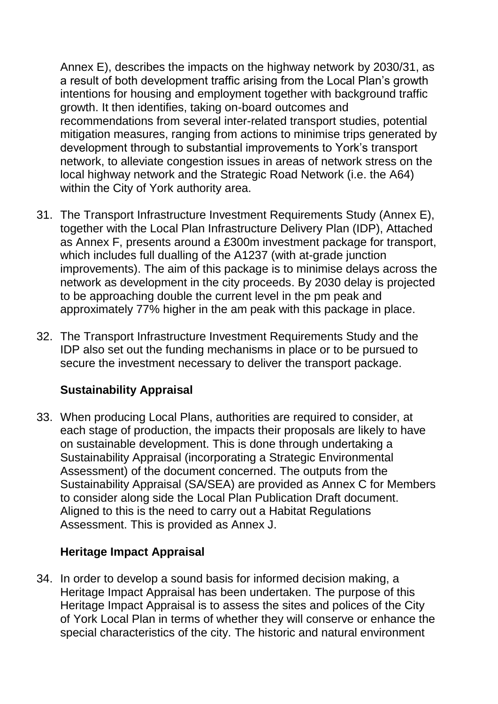Annex E), describes the impacts on the highway network by 2030/31, as a result of both development traffic arising from the Local Plan's growth intentions for housing and employment together with background traffic growth. It then identifies, taking on-board outcomes and recommendations from several inter-related transport studies, potential mitigation measures, ranging from actions to minimise trips generated by development through to substantial improvements to York's transport network, to alleviate congestion issues in areas of network stress on the local highway network and the Strategic Road Network (i.e. the A64) within the City of York authority area.

- 31. The Transport Infrastructure Investment Requirements Study (Annex E), together with the Local Plan Infrastructure Delivery Plan (IDP), Attached as Annex F, presents around a £300m investment package for transport, which includes full dualling of the A1237 (with at-grade junction improvements). The aim of this package is to minimise delays across the network as development in the city proceeds. By 2030 delay is projected to be approaching double the current level in the pm peak and approximately 77% higher in the am peak with this package in place.
- 32. The Transport Infrastructure Investment Requirements Study and the IDP also set out the funding mechanisms in place or to be pursued to secure the investment necessary to deliver the transport package.

## **Sustainability Appraisal**

33. When producing Local Plans, authorities are required to consider, at each stage of production, the impacts their proposals are likely to have on sustainable development. This is done through undertaking a Sustainability Appraisal (incorporating a Strategic Environmental Assessment) of the document concerned. The outputs from the Sustainability Appraisal (SA/SEA) are provided as Annex C for Members to consider along side the Local Plan Publication Draft document. Aligned to this is the need to carry out a Habitat Regulations Assessment. This is provided as Annex J.

#### **Heritage Impact Appraisal**

34. In order to develop a sound basis for informed decision making, a Heritage Impact Appraisal has been undertaken. The purpose of this Heritage Impact Appraisal is to assess the sites and polices of the City of York Local Plan in terms of whether they will conserve or enhance the special characteristics of the city. The historic and natural environment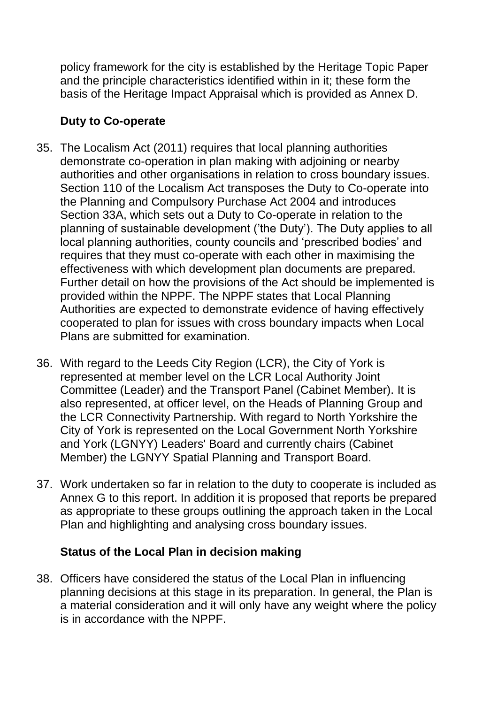policy framework for the city is established by the Heritage Topic Paper and the principle characteristics identified within in it; these form the basis of the Heritage Impact Appraisal which is provided as Annex D.

# **Duty to Co-operate**

- 35. The Localism Act (2011) requires that local planning authorities demonstrate co-operation in plan making with adjoining or nearby authorities and other organisations in relation to cross boundary issues. Section 110 of the Localism Act transposes the Duty to Co-operate into the Planning and Compulsory Purchase Act 2004 and introduces Section 33A, which sets out a Duty to Co-operate in relation to the planning of sustainable development ('the Duty'). The Duty applies to all local planning authorities, county councils and 'prescribed bodies' and requires that they must co-operate with each other in maximising the effectiveness with which development plan documents are prepared. Further detail on how the provisions of the Act should be implemented is provided within the NPPF. The NPPF states that Local Planning Authorities are expected to demonstrate evidence of having effectively cooperated to plan for issues with cross boundary impacts when Local Plans are submitted for examination.
- 36. With regard to the Leeds City Region (LCR), the City of York is represented at member level on the LCR Local Authority Joint Committee (Leader) and the Transport Panel (Cabinet Member). It is also represented, at officer level, on the Heads of Planning Group and the LCR Connectivity Partnership. With regard to North Yorkshire the City of York is represented on the Local Government North Yorkshire and York (LGNYY) Leaders' Board and currently chairs (Cabinet Member) the LGNYY Spatial Planning and Transport Board.
- 37. Work undertaken so far in relation to the duty to cooperate is included as Annex G to this report. In addition it is proposed that reports be prepared as appropriate to these groups outlining the approach taken in the Local Plan and highlighting and analysing cross boundary issues.

## **Status of the Local Plan in decision making**

38. Officers have considered the status of the Local Plan in influencing planning decisions at this stage in its preparation. In general, the Plan is a material consideration and it will only have any weight where the policy is in accordance with the NPPF.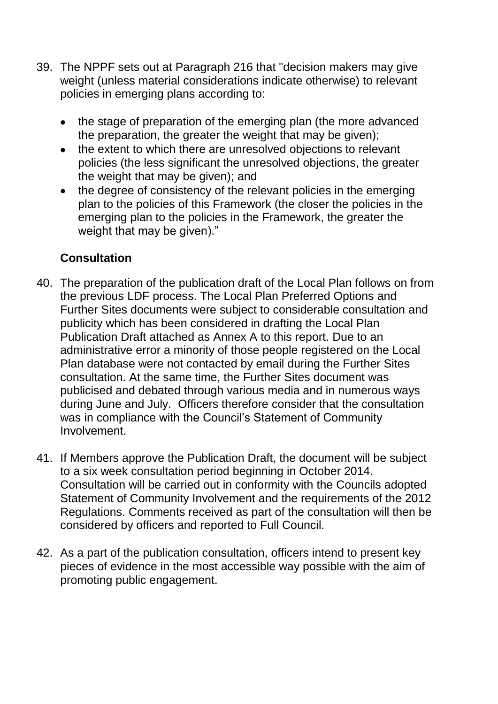- 39. The NPPF sets out at Paragraph 216 that "decision makers may give weight (unless material considerations indicate otherwise) to relevant policies in emerging plans according to:
	- the stage of preparation of the emerging plan (the more advanced the preparation, the greater the weight that may be given);
	- the extent to which there are unresolved objections to relevant  $\bullet$ policies (the less significant the unresolved objections, the greater the weight that may be given); and
	- the degree of consistency of the relevant policies in the emerging  $\bullet$ plan to the policies of this Framework (the closer the policies in the emerging plan to the policies in the Framework, the greater the weight that may be given)."

## **Consultation**

- 40. The preparation of the publication draft of the Local Plan follows on from the previous LDF process. The Local Plan Preferred Options and Further Sites documents were subject to considerable consultation and publicity which has been considered in drafting the Local Plan Publication Draft attached as Annex A to this report. Due to an administrative error a minority of those people registered on the Local Plan database were not contacted by email during the Further Sites consultation. At the same time, the Further Sites document was publicised and debated through various media and in numerous ways during June and July. Officers therefore consider that the consultation was in compliance with the Council's Statement of Community Involvement.
- 41. If Members approve the Publication Draft, the document will be subject to a six week consultation period beginning in October 2014. Consultation will be carried out in conformity with the Councils adopted Statement of Community Involvement and the requirements of the 2012 Regulations. Comments received as part of the consultation will then be considered by officers and reported to Full Council.
- 42. As a part of the publication consultation, officers intend to present key pieces of evidence in the most accessible way possible with the aim of promoting public engagement.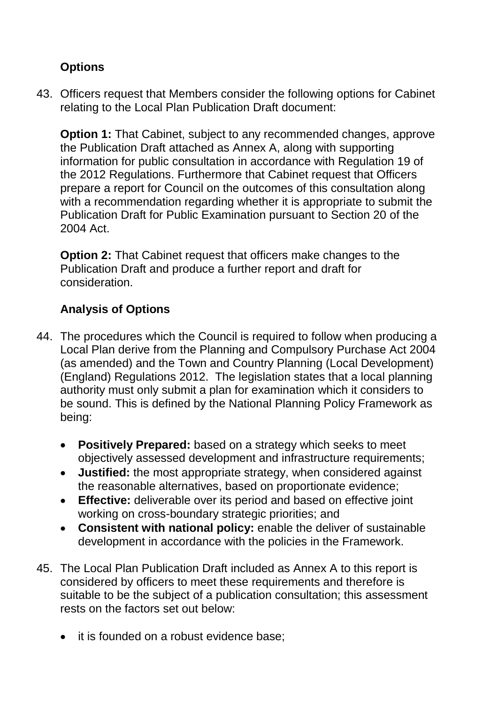# **Options**

43. Officers request that Members consider the following options for Cabinet relating to the Local Plan Publication Draft document:

**Option 1:** That Cabinet, subject to any recommended changes, approve the Publication Draft attached as Annex A, along with supporting information for public consultation in accordance with Regulation 19 of the 2012 Regulations. Furthermore that Cabinet request that Officers prepare a report for Council on the outcomes of this consultation along with a recommendation regarding whether it is appropriate to submit the Publication Draft for Public Examination pursuant to Section 20 of the 2004 Act.

**Option 2:** That Cabinet request that officers make changes to the Publication Draft and produce a further report and draft for consideration.

# **Analysis of Options**

- 44. The procedures which the Council is required to follow when producing a Local Plan derive from the Planning and Compulsory Purchase Act 2004 (as amended) and the Town and Country Planning (Local Development) (England) Regulations 2012. The legislation states that a local planning authority must only submit a plan for examination which it considers to be sound. This is defined by the National Planning Policy Framework as being:
	- **Positively Prepared:** based on a strategy which seeks to meet objectively assessed development and infrastructure requirements;
	- **Justified:** the most appropriate strategy, when considered against the reasonable alternatives, based on proportionate evidence;
	- **Effective:** deliverable over its period and based on effective joint  $\bullet$ working on cross-boundary strategic priorities; and
	- **Consistent with national policy:** enable the deliver of sustainable development in accordance with the policies in the Framework.
- 45. The Local Plan Publication Draft included as Annex A to this report is considered by officers to meet these requirements and therefore is suitable to be the subject of a publication consultation; this assessment rests on the factors set out below:
	- it is founded on a robust evidence base;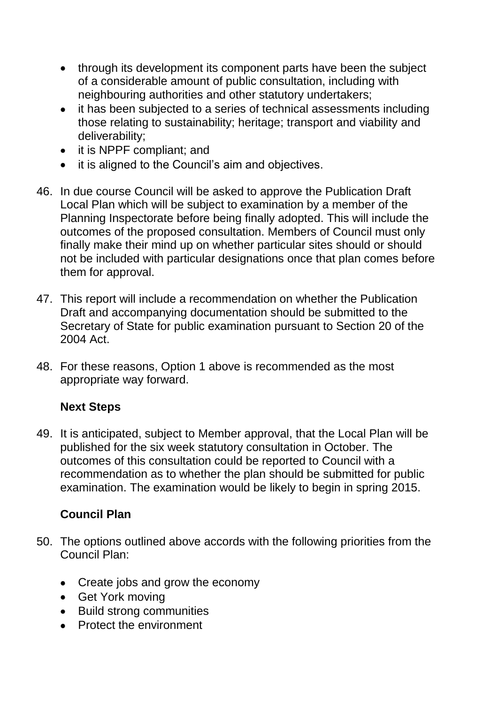- through its development its component parts have been the subject of a considerable amount of public consultation, including with neighbouring authorities and other statutory undertakers;
- it has been subjected to a series of technical assessments including  $\bullet$ those relating to sustainability; heritage; transport and viability and deliverability;
- it is NPPF compliant; and
- it is aligned to the Council's aim and objectives.
- 46. In due course Council will be asked to approve the Publication Draft Local Plan which will be subject to examination by a member of the Planning Inspectorate before being finally adopted. This will include the outcomes of the proposed consultation. Members of Council must only finally make their mind up on whether particular sites should or should not be included with particular designations once that plan comes before them for approval.
- 47. This report will include a recommendation on whether the Publication Draft and accompanying documentation should be submitted to the Secretary of State for public examination pursuant to Section 20 of the 2004 Act.
- 48. For these reasons, Option 1 above is recommended as the most appropriate way forward.

# **Next Steps**

49. It is anticipated, subject to Member approval, that the Local Plan will be published for the six week statutory consultation in October. The outcomes of this consultation could be reported to Council with a recommendation as to whether the plan should be submitted for public examination. The examination would be likely to begin in spring 2015.

# **Council Plan**

- 50. The options outlined above accords with the following priorities from the Council Plan:
	- Create jobs and grow the economy
	- Get York moving
	- Build strong communities
	- Protect the environment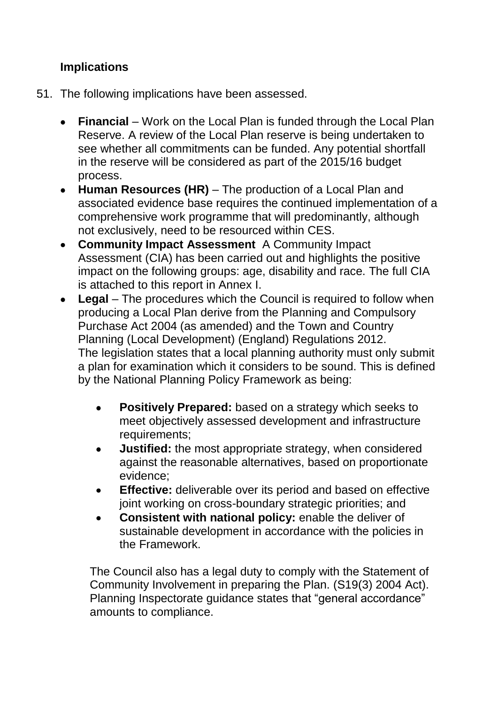## **Implications**

- 51. The following implications have been assessed.
	- Financial Work on the Local Plan is funded through the Local Plan Reserve. A review of the Local Plan reserve is being undertaken to see whether all commitments can be funded. Any potential shortfall in the reserve will be considered as part of the 2015/16 budget process.
	- **Human Resources (HR)** The production of a Local Plan and  $\bullet$ associated evidence base requires the continued implementation of a comprehensive work programme that will predominantly, although not exclusively, need to be resourced within CES.
	- **Community Impact Assessment** A Community Impact Assessment (CIA) has been carried out and highlights the positive impact on the following groups: age, disability and race. The full CIA is attached to this report in Annex I.
	- **Legal** *–* The procedures which the Council is required to follow when producing a Local Plan derive from the Planning and Compulsory Purchase Act 2004 (as amended) and the Town and Country Planning (Local Development) (England) Regulations 2012. The legislation states that a local planning authority must only submit a plan for examination which it considers to be sound. This is defined by the National Planning Policy Framework as being:
		- **Positively Prepared:** based on a strategy which seeks to  $\bullet$ meet objectively assessed development and infrastructure requirements;
		- **Justified:** the most appropriate strategy, when considered against the reasonable alternatives, based on proportionate evidence;
		- **Effective:** deliverable over its period and based on effective joint working on cross-boundary strategic priorities; and
		- **Consistent with national policy:** enable the deliver of sustainable development in accordance with the policies in the Framework.

The Council also has a legal duty to comply with the Statement of Community Involvement in preparing the Plan. (S19(3) 2004 Act). Planning Inspectorate guidance states that "general accordance" amounts to compliance.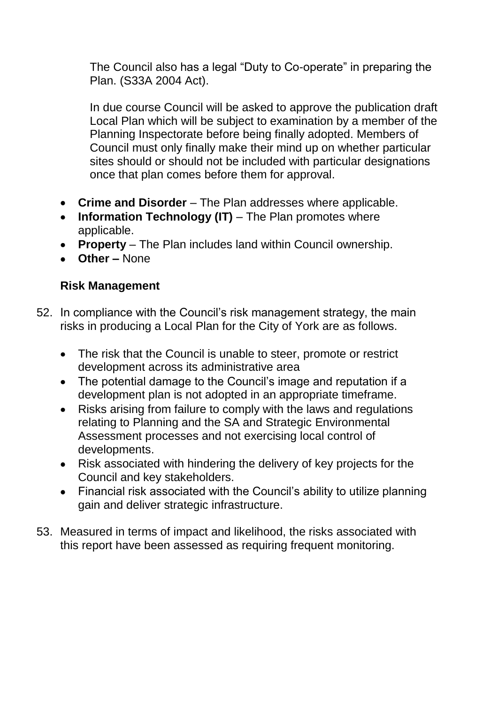The Council also has a legal "Duty to Co-operate" in preparing the Plan. (S33A 2004 Act).

In due course Council will be asked to approve the publication draft Local Plan which will be subject to examination by a member of the Planning Inspectorate before being finally adopted. Members of Council must only finally make their mind up on whether particular sites should or should not be included with particular designations once that plan comes before them for approval.

- **Crime and Disorder**  The Plan addresses where applicable.
- **Information Technology (IT)** The Plan promotes where applicable.
- **Property**  The Plan includes land within Council ownership.
- **Other –** None

#### **Risk Management**

- 52. In compliance with the Council's risk management strategy, the main risks in producing a Local Plan for the City of York are as follows.
	- The risk that the Council is unable to steer, promote or restrict development across its administrative area
	- The potential damage to the Council's image and reputation if a development plan is not adopted in an appropriate timeframe.
	- Risks arising from failure to comply with the laws and regulations relating to Planning and the SA and Strategic Environmental Assessment processes and not exercising local control of developments.
	- Risk associated with hindering the delivery of key projects for the Council and key stakeholders.
	- Financial risk associated with the Council's ability to utilize planning gain and deliver strategic infrastructure.
- 53. Measured in terms of impact and likelihood, the risks associated with this report have been assessed as requiring frequent monitoring.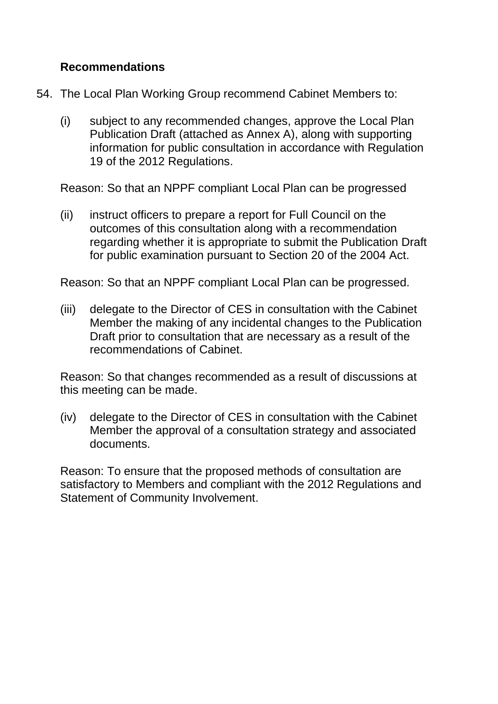#### **Recommendations**

- 54. The Local Plan Working Group recommend Cabinet Members to:
	- (i) subject to any recommended changes, approve the Local Plan Publication Draft (attached as Annex A), along with supporting information for public consultation in accordance with Regulation 19 of the 2012 Regulations.

Reason: So that an NPPF compliant Local Plan can be progressed

(ii) instruct officers to prepare a report for Full Council on the outcomes of this consultation along with a recommendation regarding whether it is appropriate to submit the Publication Draft for public examination pursuant to Section 20 of the 2004 Act.

Reason: So that an NPPF compliant Local Plan can be progressed.

(iii) delegate to the Director of CES in consultation with the Cabinet Member the making of any incidental changes to the Publication Draft prior to consultation that are necessary as a result of the recommendations of Cabinet.

Reason: So that changes recommended as a result of discussions at this meeting can be made.

(iv) delegate to the Director of CES in consultation with the Cabinet Member the approval of a consultation strategy and associated documents.

Reason: To ensure that the proposed methods of consultation are satisfactory to Members and compliant with the 2012 Regulations and Statement of Community Involvement.